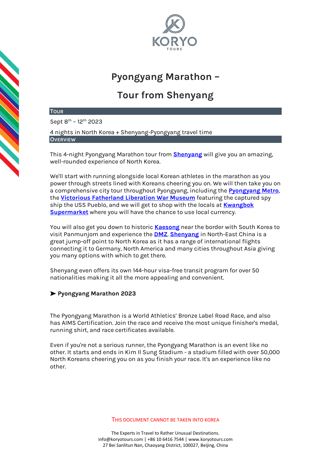

# **Pyongyang Marathon –**

# **Tour from Shenyang**

### **TOUR**

Sept 8<sup>th</sup> – 12<sup>th</sup> 2023

4 nights in North Korea + Shenyang-Pyongyang travel time **OVERVIEW**

This 4-night Pyongyang Marathon tour from **[Shenyang](https://koryogroup.com/travel-guide/shenyang-china-travel-guide)** will give you an amazing, well-rounded experience of North Korea.

We'll start with running alongside local Korean athletes in the marathon as you power through streets lined with Koreans cheering you on. We will then take you on a comprehensive city tour throughout Pyongyang, including the **[Pyongyang Metro](https://koryogroup.com/travel-guide/north-korea-guide-the-pyongyang-metro)**, the **[Victorious Fatherland Liberation War Museum](https://koryogroup.com/travel-guide/north-korea-guide-victorious-fatherland-liberation-war-museum)** featuring the captured spy ship the USS Pueblo, and we will get to shop with the locals at **[Kwangbok](https://koryogroup.com/travel-guide/north-korea-guide-kwangbok-department-store-supermarket)  [Supermarket](https://koryogroup.com/travel-guide/north-korea-guide-kwangbok-department-store-supermarket)** where you will have the chance to use local currency.

You will also get you down to historic **[Kaesong](https://koryogroup.com/travel-guide/dmz-panmunjom-north-korea-north-korea-travel-guide)** near the border with South Korea to visit Panmunjom and experience the **[DMZ](https://koryogroup.com/travel-guide/kaesong-the-dmz-north-korea-north-korea-travel-guide)**. **[Shenyang](https://koryogroup.com/travel-guide/shenyang-china-travel-guide)** in North-East China is a great jump-off point to North Korea as it has a range of international flights connecting it to Germany, North America and many cities throughout Asia giving you many options with which to get there.

Shenyang even offers its own 144-hour visa-free transit program for over 50 nationalities making it all the more appealing and convenient.

# ➤ **Pyongyang Marathon 2023**

The Pyongyang Marathon is a World Athletics' Bronze Label Road Race, and also has AIMS Certification. Join the race and receive the most unique finisher's medal, running shirt, and race certificates available.

Even if you're not a serious runner, the Pyongyang Marathon is an event like no other. It starts and ends in Kim Il Sung Stadium - a stadium filled with over 50,000 North Koreans cheering you on as you finish your race. It's an experience like no other.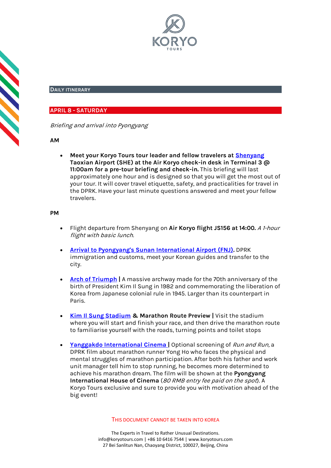

#### **DAILY ITINERARY**

# **APRIL 8 - SATURDAY**

Briefing and arrival into Pyongyang

#### **AM**

• **Meet your Koryo Tours tour leader and fellow travelers at [Shenyang](https://koryogroup.com/travel-guide/shenyang-china-travel-guide)  Taoxian Airport (SHE) at the Air Koryo check-in desk in Terminal 3 @ 11:00am for a pre-tour briefing and check-in.** This briefing will last approximately one hour and is designed so that you will get the most out of your tour. It will cover travel etiquette, safety, and practicalities for travel in the DPRK. Have your last minute questions answered and meet your fellow travelers.

#### **PM**

- Flight departure from Shenyang on **Air Koryo flight JS156 at 14:00.** A 1-hour flight with basic lunch.
- **[Arrival to Pyongyang's Sunan International Airport \(FNJ\).](https://koryogroup.com/travel-guide/pyongyang-airport-north-korea-travel-guide-f98cfdb4-ab0f-419c-90a3-93b18280a76b)** DPRK immigration and customs, meet your Korean guides and transfer to the city.
- **[Arch of Triumph](https://koryogroup.com/travel-guide/north-korea-guide-arch-of-triumph) |** A massive archway made for the 70th anniversary of the birth of President Kim Il Sung in 1982 and commemorating the liberation of Korea from Japanese colonial rule in 1945. Larger than its counterpart in Paris.
- **[Kim Il Sung Stadium](https://koryogroup.com/travel-guide/kim-il-sung-stadium-north-korea-travel-guide) & Marathon Route Preview |** Visit the stadium where you will start and finish your race, and then drive the marathon route to familiarise yourself with the roads, turning points and toilet stops
- **[Yanggakdo International Cinema](https://koryogroup.com/travel-guide/yanggakdo-international-cinema-north-korea-travel-guide) |** Optional screening of Run and Run, a DPRK film about marathon runner Yong Ho who faces the physical and mental struggles of marathon participation. After both his father and work unit manager tell him to stop running, he becomes more determined to achieve his marathon dream. The film will be shown at the **Pyongyang International House of Cinema** (80 RMB entry fee paid on the spot). A Koryo Tours exclusive and sure to provide you with motivation ahead of the big event!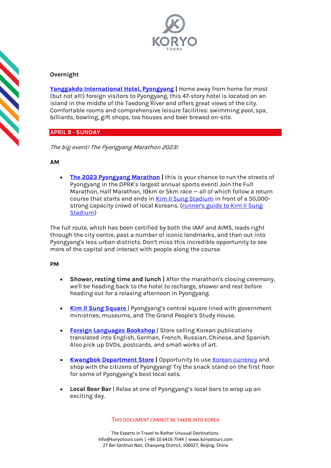

# **Overnight**

**[Yanggakdo International Hotel](https://koryogroup.com/travel-guide/yanggakdo-hotel-north-korea-travel-guide)[, Pyongyang](http://koryogroup.com/travel-guide/yanggakdo-hotel-north-korea-travel-guide) |** Home away from home for most (but not all!) foreign visitors to Pyongyang, this 47-story hotel is located on an island in the middle of the Taedong River and offers great views of the city. Comfortable rooms and comprehensive leisure facilities: swimming pool, spa, billiards, bowling, gift shops, tea houses and beer brewed on-site.

# **APRIL 9 - SUNDAY**

The big event! The Pyongyang Marathon 2023!

# **AM**

**CONTRACT** 

• **[The 2023 Pyongyang Marathon](https://koryogroup.com/travel-guide/north-korea-travel-guide-the-pyongyang-marathon) |** this is your chance to run the streets of Pyongyang in the DPRK's largest annual sports event! Join the Full Marathon, Half Marathon, 10km or 5km race — all of which follow a return course that starts and ends in [Kim Il Sung Stadium](https://koryogroup.com/travel-guide/kim-il-sung-stadium-north-korea-travel-guide) in front of a 50,000 strong capacity crowd of local Koreans. (runner's guide to Kim Il Sung [Stadium\)](https://koryogroup.com/blog/a-pyongyang-marathon-runner-s-guide-kim-il-sung-stadium)

The full route, which has been certified by both the IAAF and AIMS, leads right through the city centre, past a number of iconic landmarks, and then out into Pyongyang's less urban districts. Don't miss this incredible opportunity to see more of the capital and interact with people along the course.

## **PM**

- **Shower, resting time and lunch |** After the marathon's closing ceremony, we'll be heading back to the hotel to recharge, shower and rest before heading out for a relaxing afternoon in Pyongyang.
- **[Kim Il Sung Square](https://koryogroup.com/travel-guide/north-korea-guide-kim-il-sung-square)** | Pyongyang's central square lined with government ministries, museums, and The Grand People's Study House.
- **[Foreign Languages Bookshop](https://koryogroup.com/travel-guide/foreign-languages-bookshop-north-korea-travel-guide)** | Store selling Korean publications translated into English, German, French, Russian, Chinese, and Spanish. Also pick up DVDs, postcards, and small works of art.
- **[Kwangbok Department Store](https://koryogroup.com/travel-guide/north-korea-guide-kwangbok-department-store-supermarket)** | Opportunity to us[e Korean currency](https://koryogroup.com/travel-guide/where-can-i-get-north-korean-currency-north-korean-money-faqs) and shop with the citizens of Pyongyang! Try the snack stand on the first floor for some of Pyongyang's best local eats.
- **Local Beer Bar** | Relax at one of Pyongyang's local bars to wrap up an exciting day.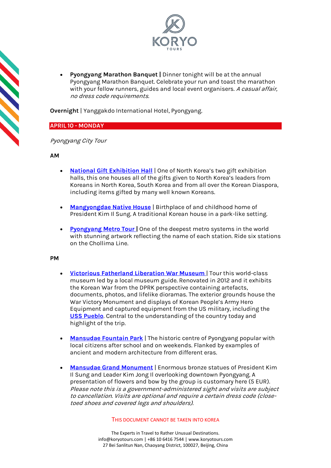

• **Pyongyang Marathon Banquet |** Dinner tonight will be at the annual Pyongyang Marathon Banquet. Celebrate your run and toast the marathon with your fellow runners, guides and local event organisers. A casual affair, no dress code requirements.

**Overnight** | Yanggakdo International Hotel, Pyongyang.

# **APRIL 10 - MONDAY**

Pyongyang City Tour

## **AM**

- **[National Gift Exhibition Hall](https://koryogroup.com/travel-guide/national-gift-exhibition-house-north-korea-travel-guide)** | One of North Korea's two gift exhibition halls, this one houses all of the gifts given to North Korea's leaders from Koreans in North Korea, South Korea and from all over the Korean Diaspora, including items gifted by many well known Koreans.
- **[Mangyongdae Native House](https://koryogroup.com/travel-guide/mangyongdae-pyongyang-north-korea-travel-guide)** | Birthplace of and childhood home of President Kim Il Sung. A traditional Korean house in a park-like setting.
- **[Pyongyang Metro Tour](https://koryogroup.com/travel-guide/north-korea-guide-the-pyongyang-metro) [|](https://koryogroup.com/travel-guide/north-korea-guide-the-pyongyang-metro)** One of the deepest metro systems in the world with stunning artwork reflecting the name of each station. Ride six stations on the Chollima Line.

## **PM**

- **[Victorious Fatherland Liberation War Museum](https://koryogroup.com/travel-guide/north-korea-guide-victorious-fatherland-liberation-war-museum)** | Tour this world-class museum led by a local museum guide. Renovated in 2012 and it exhibits the Korean War from the DPRK perspective containing artefacts, documents, photos, and lifelike dioramas. The exterior grounds house the War Victory Monument and displays of Korean People's Army Hero Equipment and captured equipment from the US military, including the **[USS Pueblo](https://koryogroup.com/travel-guide/uss-pueblo-north-korea-travel-guide)**. Central to the understanding of the country today and highlight of the trip.
- **[Mansudae Fountain Park](https://koryogroup.com/travel-guide/mansudae-fountain-park-north-korea-travel-guide)** | The historic centre of Pyongyang popular with local citizens after school and on weekends. Flanked by examples of ancient and modern architecture from different eras.
- **Mansudae Grand Monument** | Enormous bronze statues of President Kim Il Sung and Leader Kim Jong Il overlooking downtown Pyongyang. A presentation of flowers and bow by the group is customary here (5 EUR). Please note this is a government-administered sight and visits are subject to cancellation. Visits are optional and require a certain dress code (closetoed shoes and covered legs and shoulders).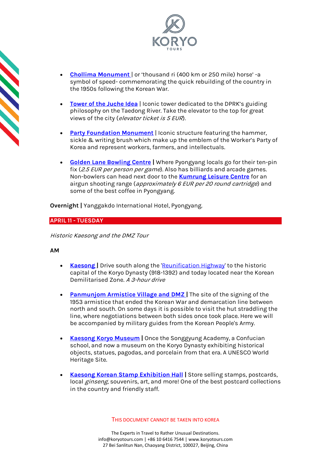

- **[Chollima Monument](https://koryogroup.com/travel-guide/north-korea-guide-chollima-statue)** | or 'thousand ri (400 km or 250 mile) horse' -a symbol of speed- commemorating the quick rebuilding of the country in the 1950s following the Korean War.
- **[Tower of the Juche Idea](https://koryogroup.com/travel-guide/the-tower-of-the-juche-idea)** | Iconic tower dedicated to the DPRK's guiding philosophy on the Taedong River. Take the elevator to the top for great views of the city (elevator ticket is 5 EUR).
- **[Party Foundation Monument](https://koryogroup.com/travel-guide/north-korea-guide-monument-to-party-founding)** | Iconic structure featuring the hammer, sickle & writing brush which make up the emblem of the Worker's Party of Korea and represent workers, farmers, and intellectuals.
- **[Golden Lane Bowling Centre](https://koryogroup.com/travel-guide/golden-lane-bowling-alley-north-korea-travel-guide) |** Where Pyongyang locals go for their ten-pin fix (2.5 EUR per person per game). Also has billiards and arcade games. Non-bowlers can head next door to the **[Kumrung Leisure Centre](https://koryogroup.com/travel-guide/kumrung-leisure-centre-north-korea-travel-guide-needs-photos)** for an airgun shooting range (approximately 6 EUR per 20 round cartridge) and some of the best coffee in Pyongyang.

**Overnight |** Yanggakdo International Hotel, Pyongyang.

# **APRIL 11 - TUESDAY**

Historic Kaesong and the DMZ Tour

# **AM**

- **Kaesong** Drive south along the ['Reunification Highway'](https://koryogroup.com/travel-guide/the-reunification-highway-pyongyang-to-the-dmz-north-korea-travel-guide) to the historic capital of the Koryo Dynasty (918-1392) and today located near the Korean Demilitarised Zone. A 3-hour drive
- **[Panmunjom Armistice Village and DMZ](https://koryogroup.com/travel-guide/dmz-panmunjom-north-korea-north-korea-travel-guide)** The site of the signing of the 1953 armistice that ended the Korean War and demarcation line between north and south. On some days it is possible to visit the hut straddling the line, where negotiations between both sides once took place. Here we will be accompanied by military guides from the Korean People's Army.
- **[Kaesong Koryo Museum](https://koryogroup.com/travel-guide/north-korea-guide-kaesong-koryo-museum) |** Once the Songgyung Academy, a Confucian school, and now a museum on the Koryo Dynasty exhibiting historical objects, statues, pagodas, and porcelain from that era. A UNESCO World Heritage Site.
- **[Kaesong Korean Stamp Exhibition Hall](https://koryogroup.com/travel-guide/stamp-shop-kaesong-north-korea-travel-guide) |** Store selling stamps, postcards, local *ginseng*, souvenirs, art, and more! One of the best postcard collections in the country and friendly staff.